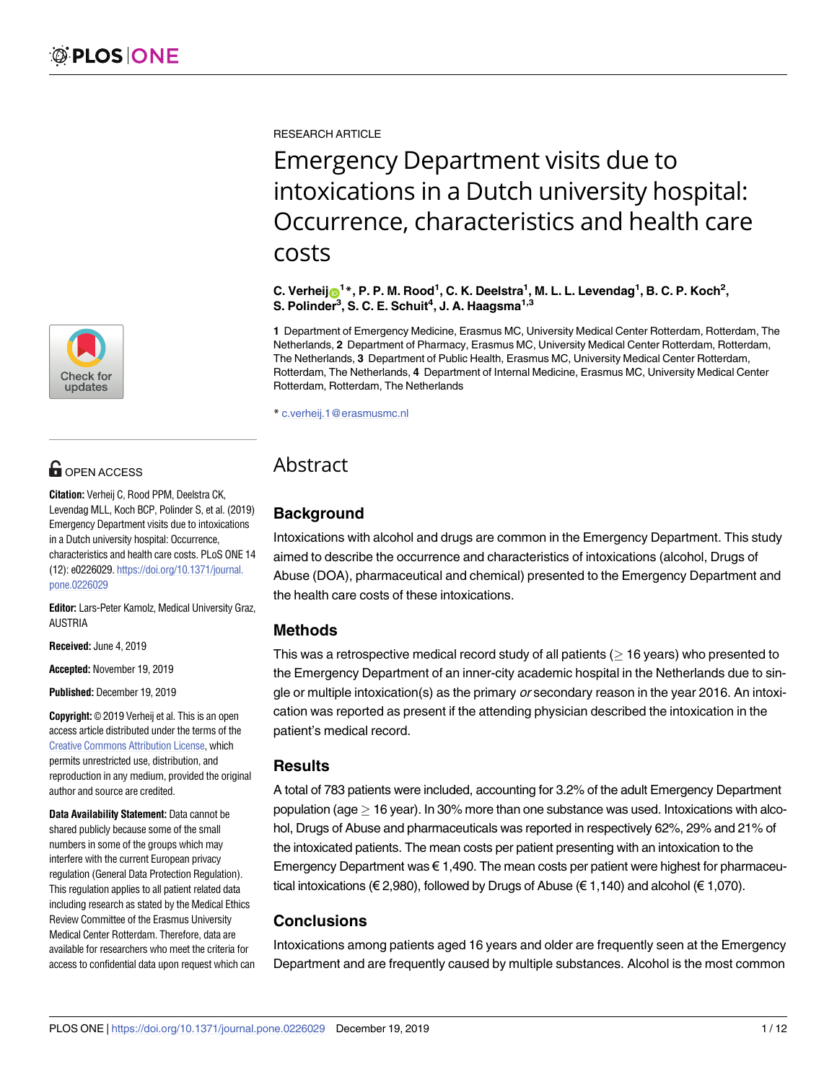[a1111111111](http://crossmark.crossref.org/dialog/?doi=10.1371/journal.pone.0226029&domain=pdf&date_stamp=2019-12-19)  $\blacksquare$ [a1111111111](http://crossmark.crossref.org/dialog/?doi=10.1371/journal.pone.0226029&domain=pdf&date_stamp=2019-12-19) **Check for** updates

## **OPEN ACCESS**

**Citation:** Verheij C, Rood PPM, Deelstra CK, Levendag MLL, Koch BCP, Polinder S, et al. (2019) Emergency Department visits due to intoxications in a Dutch university hospital: Occurrence, characteristics and health care costs. PLoS ONE 14 (12): e0226029. [https://doi.org/10.1371/journal.](https://doi.org/10.1371/journal.pone.0226029) [pone.0226029](https://doi.org/10.1371/journal.pone.0226029)

**Editor:** Lars-Peter Kamolz, Medical University Graz, AUSTRIA

**Received:** June 4, 2019

**Accepted:** November 19, 2019

**Published:** December 19, 2019

**Copyright:** © 2019 Verheij et al. This is an open access article distributed under the terms of the Creative Commons [Attribution](http://creativecommons.org/licenses/by/4.0/) License, which permits unrestricted use, distribution, and reproduction in any medium, provided the original author and source are credited.

**Data Availability Statement:** Data cannot be shared publicly because some of the small numbers in some of the groups which may interfere with the current European privacy regulation (General Data Protection Regulation). This regulation applies to all patient related data including research as stated by the Medical Ethics Review Committee of the Erasmus University Medical Center Rotterdam. Therefore, data are available for researchers who meet the criteria for access to confidential data upon request which can RESEARCH ARTICLE

# Emergency Department visits due to intoxications in a Dutch university hospital: Occurrence, characteristics and health care costs

C. Verheij⋒<sup>1</sup>\*, P. P. M. Rood<sup>1</sup>, C. K. Deelstra<sup>1</sup>, M. L. L. Levendag<sup>1</sup>, B. C. P. Koch<sup>2</sup>, **S. Polinder3 , S. C. E. Schuit4 , J. A. Haagsma1,3**

**1** Department of Emergency Medicine, Erasmus MC, University Medical Center Rotterdam, Rotterdam, The Netherlands, **2** Department of Pharmacy, Erasmus MC, University Medical Center Rotterdam, Rotterdam, The Netherlands, **3** Department of Public Health, Erasmus MC, University Medical Center Rotterdam, Rotterdam, The Netherlands, **4** Department of Internal Medicine, Erasmus MC, University Medical Center Rotterdam, Rotterdam, The Netherlands

\* c.verheij.1@erasmusmc.nl

### Abstract

#### **Background**

Intoxications with alcohol and drugs are common in the Emergency Department. This study aimed to describe the occurrence and characteristics of intoxications (alcohol, Drugs of Abuse (DOA), pharmaceutical and chemical) presented to the Emergency Department and the health care costs of these intoxications.

#### **Methods**

This was a retrospective medical record study of all patients ( $\geq$  16 years) who presented to the Emergency Department of an inner-city academic hospital in the Netherlands due to single or multiple intoxication(s) as the primary or secondary reason in the year 2016. An intoxication was reported as present if the attending physician described the intoxication in the patient's medical record.

#### **Results**

A total of 783 patients were included, accounting for 3.2% of the adult Emergency Department population (age  $>$  16 year). In 30% more than one substance was used. Intoxications with alcohol, Drugs of Abuse and pharmaceuticals was reported in respectively 62%, 29% and 21% of the intoxicated patients. The mean costs per patient presenting with an intoxication to the Emergency Department was € 1,490. The mean costs per patient were highest for pharmaceutical intoxications (€ 2,980), followed by Drugs of Abuse (€ 1,140) and alcohol (€ 1,070).

#### **Conclusions**

Intoxications among patients aged 16 years and older are frequently seen at the Emergency Department and are frequently caused by multiple substances. Alcohol is the most common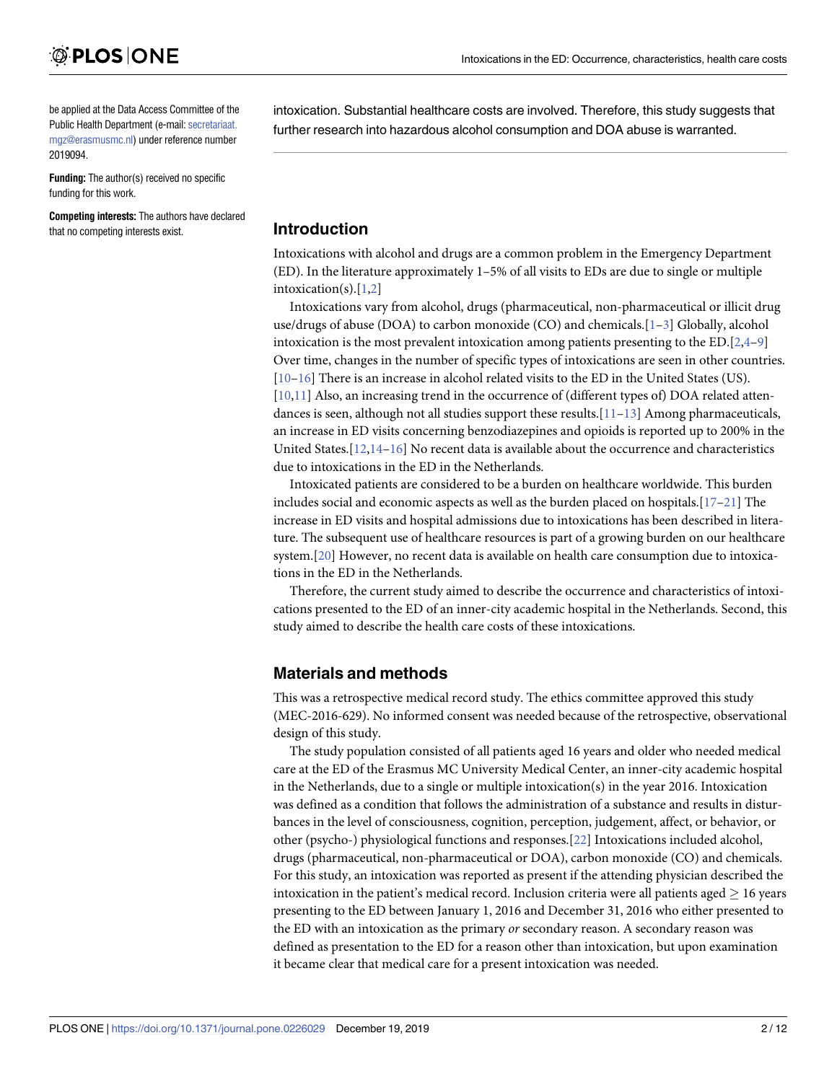<span id="page-1-0"></span>be applied at the Data Access Committee of the Public Health Department (e-mail: [secretariaat.](mailto:secretariaat.mgz@erasmusmc.nl) [mgz@erasmusmc.nl](mailto:secretariaat.mgz@erasmusmc.nl)) under reference number 2019094.

**Funding:** The author(s) received no specific funding for this work.

**Competing interests:** The authors have declared that no competing interests exist.

intoxication. Substantial healthcare costs are involved. Therefore, this study suggests that further research into hazardous alcohol consumption and DOA abuse is warranted.

#### **Introduction**

Intoxications with alcohol and drugs are a common problem in the Emergency Department (ED). In the literature approximately 1–5% of all visits to EDs are due to single or multiple intoxication(s).[\[1,2](#page-10-0)]

Intoxications vary from alcohol, drugs (pharmaceutical, non-pharmaceutical or illicit drug use/drugs of abuse (DOA) to carbon monoxide (CO) and chemicals.[\[1–3\]](#page-10-0) Globally, alcohol intoxication is the most prevalent intoxication among patients presenting to the  $ED.[2,4–9]$  $ED.[2,4–9]$  $ED.[2,4–9]$ Over time, changes in the number of specific types of intoxications are seen in other countries. [\[10](#page-10-0)[–16\]](#page-11-0) There is an increase in alcohol related visits to the ED in the United States (US). [\[10,11\]](#page-10-0) Also, an increasing trend in the occurrence of (different types of) DOA related attendances is seen, although not all studies support these results.[[11–13\]](#page-10-0) Among pharmaceuticals, an increase in ED visits concerning benzodiazepines and opioids is reported up to 200% in the United States. $[12,14-16]$  $[12,14-16]$  $[12,14-16]$  $[12,14-16]$  $[12,14-16]$  No recent data is available about the occurrence and characteristics due to intoxications in the ED in the Netherlands.

Intoxicated patients are considered to be a burden on healthcare worldwide. This burden includes social and economic aspects as well as the burden placed on hospitals.[\[17–21](#page-11-0)] The increase in ED visits and hospital admissions due to intoxications has been described in literature. The subsequent use of healthcare resources is part of a growing burden on our healthcare system.[[20](#page-11-0)] However, no recent data is available on health care consumption due to intoxications in the ED in the Netherlands.

Therefore, the current study aimed to describe the occurrence and characteristics of intoxications presented to the ED of an inner-city academic hospital in the Netherlands. Second, this study aimed to describe the health care costs of these intoxications.

#### **Materials and methods**

This was a retrospective medical record study. The ethics committee approved this study (MEC-2016-629). No informed consent was needed because of the retrospective, observational design of this study.

The study population consisted of all patients aged 16 years and older who needed medical care at the ED of the Erasmus MC University Medical Center, an inner-city academic hospital in the Netherlands, due to a single or multiple intoxication(s) in the year 2016. Intoxication was defined as a condition that follows the administration of a substance and results in disturbances in the level of consciousness, cognition, perception, judgement, affect, or behavior, or other (psycho-) physiological functions and responses.[[22](#page-11-0)] Intoxications included alcohol, drugs (pharmaceutical, non-pharmaceutical or DOA), carbon monoxide (CO) and chemicals. For this study, an intoxication was reported as present if the attending physician described the intoxication in the patient's medical record. Inclusion criteria were all patients aged  $\geq$  16 years presenting to the ED between January 1, 2016 and December 31, 2016 who either presented to the ED with an intoxication as the primary *or* secondary reason. A secondary reason was defined as presentation to the ED for a reason other than intoxication, but upon examination it became clear that medical care for a present intoxication was needed.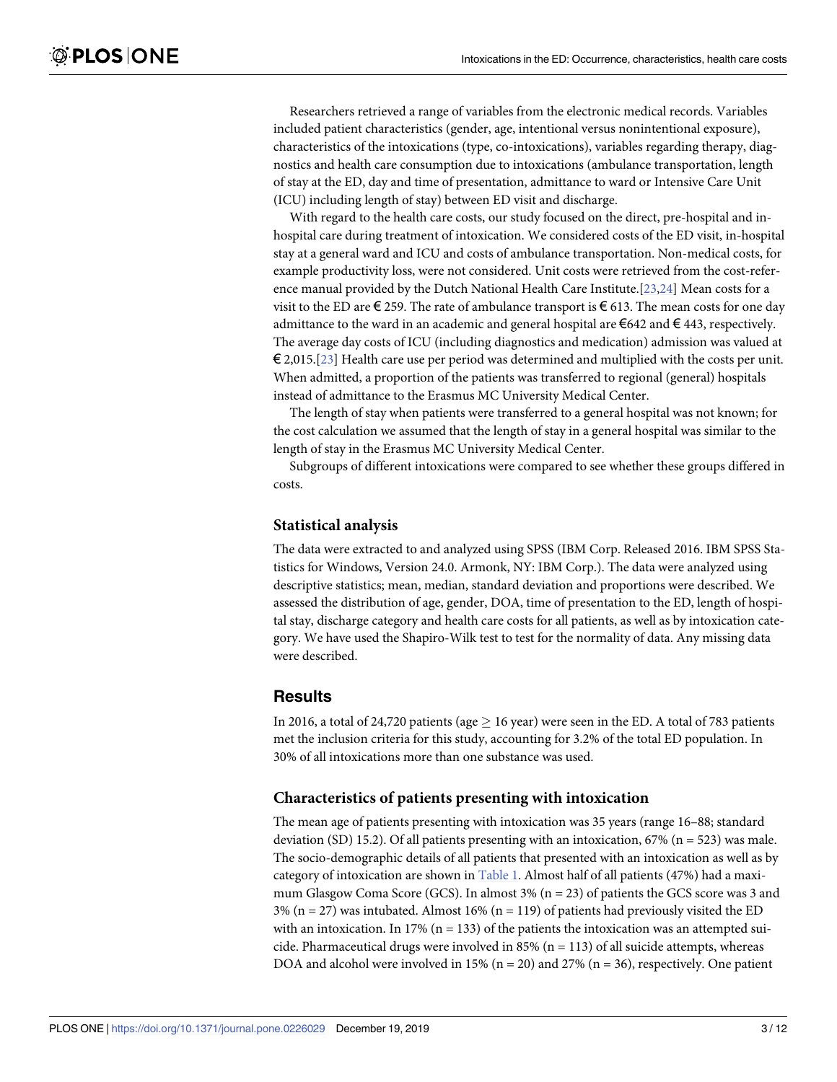<span id="page-2-0"></span>Researchers retrieved a range of variables from the electronic medical records. Variables included patient characteristics (gender, age, intentional versus nonintentional exposure), characteristics of the intoxications (type, co-intoxications), variables regarding therapy, diagnostics and health care consumption due to intoxications (ambulance transportation, length of stay at the ED, day and time of presentation, admittance to ward or Intensive Care Unit (ICU) including length of stay) between ED visit and discharge.

With regard to the health care costs, our study focused on the direct, pre-hospital and inhospital care during treatment of intoxication. We considered costs of the ED visit, in-hospital stay at a general ward and ICU and costs of ambulance transportation. Non-medical costs, for example productivity loss, were not considered. Unit costs were retrieved from the cost-reference manual provided by the Dutch National Health Care Institute.[\[23,24](#page-11-0)] Mean costs for a visit to the ED are  $\epsilon$  259. The rate of ambulance transport is  $\epsilon$  613. The mean costs for one day admittance to the ward in an academic and general hospital are  $\epsilon$ 642 and  $\epsilon$  443, respectively. The average day costs of ICU (including diagnostics and medication) admission was valued at  $\epsilon$  2,015.[[23](#page-11-0)] Health care use per period was determined and multiplied with the costs per unit. When admitted, a proportion of the patients was transferred to regional (general) hospitals instead of admittance to the Erasmus MC University Medical Center.

The length of stay when patients were transferred to a general hospital was not known; for the cost calculation we assumed that the length of stay in a general hospital was similar to the length of stay in the Erasmus MC University Medical Center.

Subgroups of different intoxications were compared to see whether these groups differed in costs.

#### **Statistical analysis**

The data were extracted to and analyzed using SPSS (IBM Corp. Released 2016. IBM SPSS Statistics for Windows, Version 24.0. Armonk, NY: IBM Corp.). The data were analyzed using descriptive statistics; mean, median, standard deviation and proportions were described. We assessed the distribution of age, gender, DOA, time of presentation to the ED, length of hospital stay, discharge category and health care costs for all patients, as well as by intoxication category. We have used the Shapiro-Wilk test to test for the normality of data. Any missing data were described.

#### **Results**

In 2016, a total of 24,720 patients (age  $\geq$  16 year) were seen in the ED. A total of 783 patients met the inclusion criteria for this study, accounting for 3.2% of the total ED population. In 30% of all intoxications more than one substance was used.

#### **Characteristics of patients presenting with intoxication**

The mean age of patients presenting with intoxication was 35 years (range 16–88; standard deviation (SD) 15.2). Of all patients presenting with an intoxication,  $67\%$  (n = 523) was male. The socio-demographic details of all patients that presented with an intoxication as well as by category of intoxication are shown in [Table](#page-3-0) 1. Almost half of all patients (47%) had a maximum Glasgow Coma Score (GCS). In almost 3% (n = 23) of patients the GCS score was 3 and  $3\%$  (n = 27) was intubated. Almost 16% (n = 119) of patients had previously visited the ED with an intoxication. In 17% ( $n = 133$ ) of the patients the intoxication was an attempted suicide. Pharmaceutical drugs were involved in 85% ( $n = 113$ ) of all suicide attempts, whereas DOA and alcohol were involved in 15% ( $n = 20$ ) and 27% ( $n = 36$ ), respectively. One patient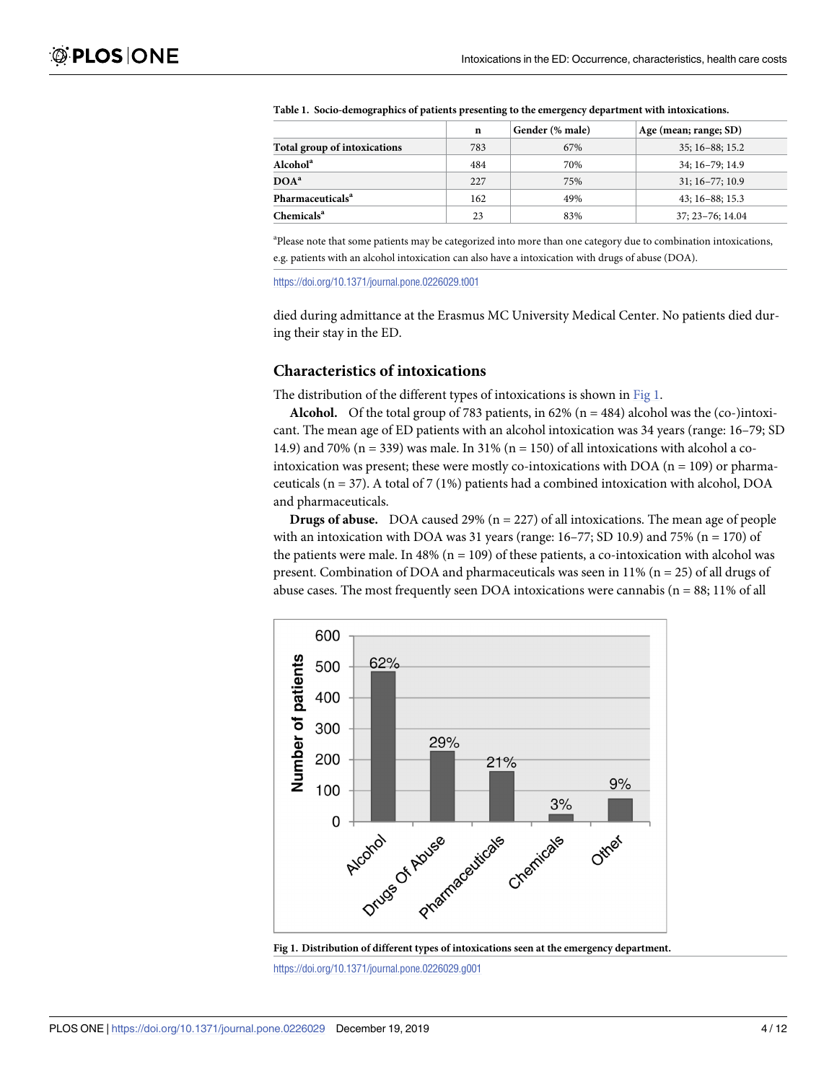|                              | $\mathbf n$ | Gender (% male) | Age (mean; range; SD) |  |  |
|------------------------------|-------------|-----------------|-----------------------|--|--|
| Total group of intoxications | 783         | 67%             | $35:16 - 88:15.2$     |  |  |
| Alcohol <sup>a</sup>         | 484         | 70%             | $34:16-79:14.9$       |  |  |
| DOA <sup>a</sup>             | 227         | 75%             | $31:16-77:10.9$       |  |  |
| Pharmaceuticals <sup>a</sup> | 162         | 49%             | $43:16 - 88:15.3$     |  |  |
| Chemicals <sup>a</sup>       | 23          | 83%             | $37:23 - 76:14.04$    |  |  |

<span id="page-3-0"></span>

|  |  |  | Table 1. Socio-demographics of patients presenting to the emergency department with intoxications. |  |
|--|--|--|----------------------------------------------------------------------------------------------------|--|
|  |  |  |                                                                                                    |  |

a Please note that some patients may be categorized into more than one category due to combination intoxications, e.g. patients with an alcohol intoxication can also have a intoxication with drugs of abuse (DOA).

<https://doi.org/10.1371/journal.pone.0226029.t001>

died during admittance at the Erasmus MC University Medical Center. No patients died during their stay in the ED.

#### **Characteristics of intoxications**

The distribution of the different types of intoxications is shown in Fig 1.

**Alcohol.** Of the total group of 783 patients, in  $62\%$  (n = 484) alcohol was the (co-)intoxicant. The mean age of ED patients with an alcohol intoxication was 34 years (range: 16–79; SD 14.9) and 70% (n = 339) was male. In 31% (n = 150) of all intoxications with alcohol a cointoxication was present; these were mostly co-intoxications with DOA ( $n = 109$ ) or pharmaceuticals ( $n = 37$ ). A total of 7 (1%) patients had a combined intoxication with alcohol, DOA and pharmaceuticals.

**Drugs of abuse.** DOA caused 29% (n = 227) of all intoxications. The mean age of people with an intoxication with DOA was 31 years (range:  $16-77$ ; SD 10.9) and 75% (n = 170) of the patients were male. In 48% ( $n = 109$ ) of these patients, a co-intoxication with alcohol was present. Combination of DOA and pharmaceuticals was seen in 11% ( $n = 25$ ) of all drugs of abuse cases. The most frequently seen DOA intoxications were cannabis  $(n = 88; 11\% \text{ of all})$ 





<https://doi.org/10.1371/journal.pone.0226029.g001>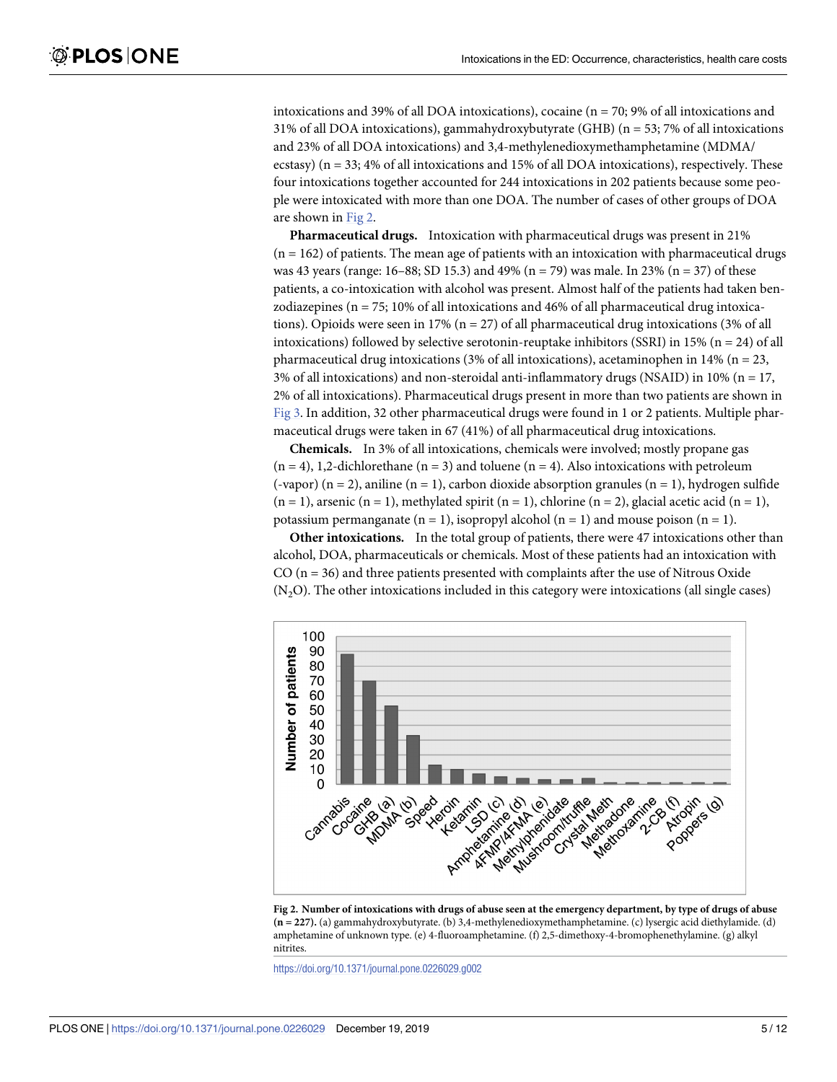<span id="page-4-0"></span>intoxications and 39% of all DOA intoxications), cocaine (n = 70; 9% of all intoxications and 31% of all DOA intoxications), gammahydroxybutyrate (GHB) (n = 53; 7% of all intoxications and 23% of all DOA intoxications) and 3,4-methylenedioxymethamphetamine (MDMA/ ecstasy) ( $n = 33$ ; 4% of all intoxications and 15% of all DOA intoxications), respectively. These four intoxications together accounted for 244 intoxications in 202 patients because some people were intoxicated with more than one DOA. The number of cases of other groups of DOA are shown in Fig 2.

**Pharmaceutical drugs.** Intoxication with pharmaceutical drugs was present in 21%  $(n = 162)$  of patients. The mean age of patients with an intoxication with pharmaceutical drugs was 43 years (range:  $16-88$ ; SD 15.3) and 49% (n = 79) was male. In 23% (n = 37) of these patients, a co-intoxication with alcohol was present. Almost half of the patients had taken benzodiazepines ( $n = 75$ ; 10% of all intoxications and 46% of all pharmaceutical drug intoxications). Opioids were seen in 17% ( $n = 27$ ) of all pharmaceutical drug intoxications (3% of all intoxications) followed by selective serotonin-reuptake inhibitors (SSRI) in 15% ( $n = 24$ ) of all pharmaceutical drug intoxications (3% of all intoxications), acetaminophen in 14% ( $n = 23$ , 3% of all intoxications) and non-steroidal anti-inflammatory drugs (NSAID) in 10% (n = 17, 2% of all intoxications). Pharmaceutical drugs present in more than two patients are shown in [Fig](#page-5-0) 3. In addition, 32 other pharmaceutical drugs were found in 1 or 2 patients. Multiple pharmaceutical drugs were taken in 67 (41%) of all pharmaceutical drug intoxications.

**Chemicals.** In 3% of all intoxications, chemicals were involved; mostly propane gas  $(n = 4)$ , 1,2-dichlorethane  $(n = 3)$  and toluene  $(n = 4)$ . Also intoxications with petroleum (-vapor) (n = 2), aniline (n = 1), carbon dioxide absorption granules (n = 1), hydrogen sulfide  $(n = 1)$ , arsenic  $(n = 1)$ , methylated spirit  $(n = 1)$ , chlorine  $(n = 2)$ , glacial acetic acid  $(n = 1)$ , potassium permanganate  $(n = 1)$ , isopropyl alcohol  $(n = 1)$  and mouse poison  $(n = 1)$ .

**Other intoxications.** In the total group of patients, there were 47 intoxications other than alcohol, DOA, pharmaceuticals or chemicals. Most of these patients had an intoxication with  $CO (n = 36)$  and three patients presented with complaints after the use of Nitrous Oxide  $(N_2O)$ . The other intoxications included in this category were intoxications (all single cases)



Fig 2. Number of intoxications with drugs of abuse seen at the emergency department, by type of drugs of abuse **(n = 227).** (a) gammahydroxybutyrate. (b) 3,4-methylenedioxymethamphetamine. (c) lysergic acid diethylamide. (d) amphetamine of unknown type. (e) 4-fluoroamphetamine. (f) 2,5-dimethoxy-4-bromophenethylamine. (g) alkyl nitrites.

<https://doi.org/10.1371/journal.pone.0226029.g002>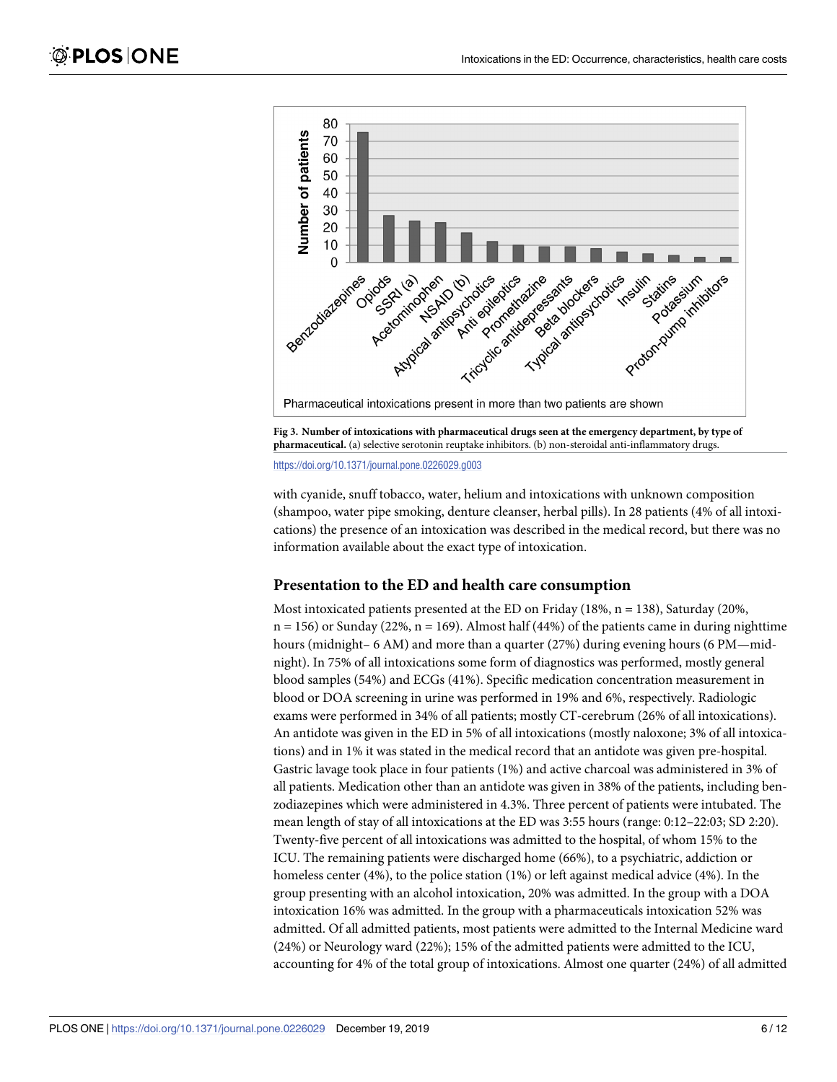<span id="page-5-0"></span>



<https://doi.org/10.1371/journal.pone.0226029.g003>

with cyanide, snuff tobacco, water, helium and intoxications with unknown composition (shampoo, water pipe smoking, denture cleanser, herbal pills). In 28 patients (4% of all intoxications) the presence of an intoxication was described in the medical record, but there was no information available about the exact type of intoxication.

#### **Presentation to the ED and health care consumption**

Most intoxicated patients presented at the ED on Friday  $(18\%, n = 138)$ , Saturday  $(20\%,$  $n = 156$ ) or Sunday (22%,  $n = 169$ ). Almost half (44%) of the patients came in during nighttime hours (midnight– 6 AM) and more than a quarter (27%) during evening hours (6 PM—midnight). In 75% of all intoxications some form of diagnostics was performed, mostly general blood samples (54%) and ECGs (41%). Specific medication concentration measurement in blood or DOA screening in urine was performed in 19% and 6%, respectively. Radiologic exams were performed in 34% of all patients; mostly CT-cerebrum (26% of all intoxications). An antidote was given in the ED in 5% of all intoxications (mostly naloxone; 3% of all intoxications) and in 1% it was stated in the medical record that an antidote was given pre-hospital. Gastric lavage took place in four patients (1%) and active charcoal was administered in 3% of all patients. Medication other than an antidote was given in 38% of the patients, including benzodiazepines which were administered in 4.3%. Three percent of patients were intubated. The mean length of stay of all intoxications at the ED was 3:55 hours (range: 0:12–22:03; SD 2:20). Twenty-five percent of all intoxications was admitted to the hospital, of whom 15% to the ICU. The remaining patients were discharged home (66%), to a psychiatric, addiction or homeless center (4%), to the police station (1%) or left against medical advice (4%). In the group presenting with an alcohol intoxication, 20% was admitted. In the group with a DOA intoxication 16% was admitted. In the group with a pharmaceuticals intoxication 52% was admitted. Of all admitted patients, most patients were admitted to the Internal Medicine ward (24%) or Neurology ward (22%); 15% of the admitted patients were admitted to the ICU, accounting for 4% of the total group of intoxications. Almost one quarter (24%) of all admitted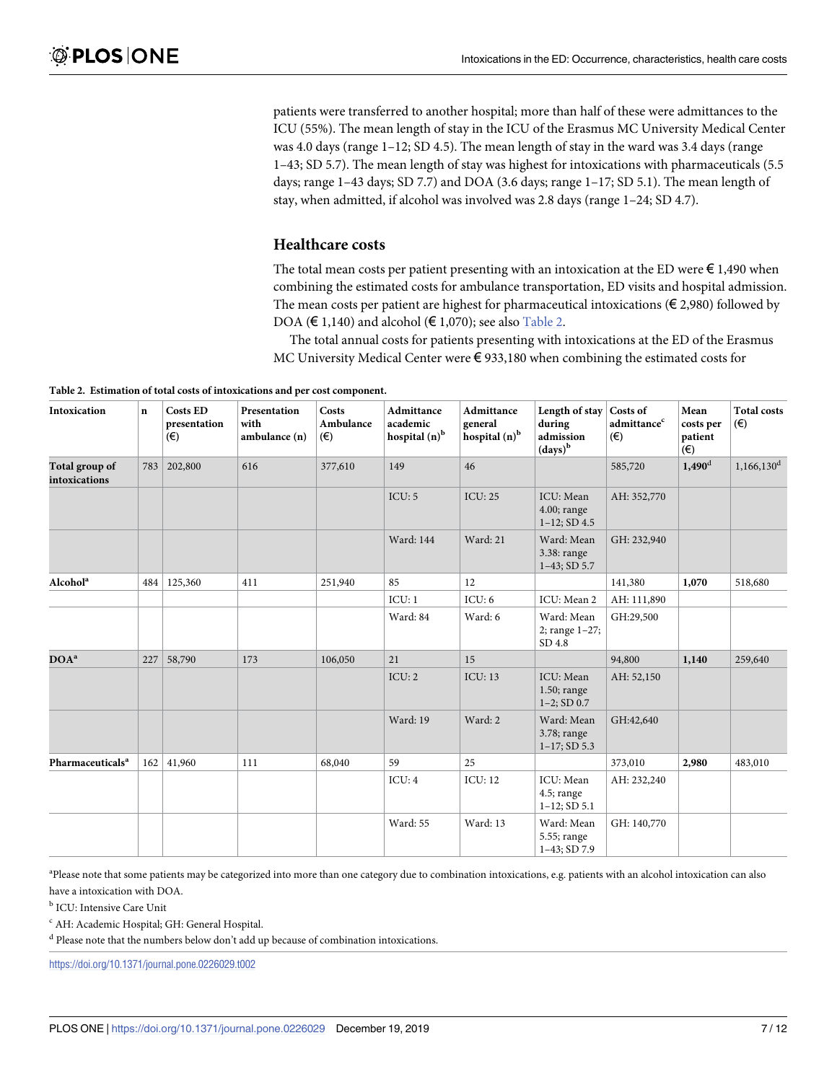<span id="page-6-0"></span>patients were transferred to another hospital; more than half of these were admittances to the ICU (55%). The mean length of stay in the ICU of the Erasmus MC University Medical Center was 4.0 days (range 1–12; SD 4.5). The mean length of stay in the ward was 3.4 days (range 1–43; SD 5.7). The mean length of stay was highest for intoxications with pharmaceuticals (5.5 days; range 1–43 days; SD 7.7) and DOA (3.6 days; range 1–17; SD 5.1). The mean length of stay, when admitted, if alcohol was involved was 2.8 days (range 1–24; SD 4.7).

#### **Healthcare costs**

The total mean costs per patient presenting with an intoxication at the ED were  $\epsilon$  1,490 when combining the estimated costs for ambulance transportation, ED visits and hospital admission. The mean costs per patient are highest for pharmaceutical intoxications ( $\epsilon$  2,980) followed by DOA ( $\in$  1,140) and alcohol ( $\in$  1,070); see also Table 2.

The total annual costs for patients presenting with intoxications at the ED of the Erasmus MC University Medical Center were € 933,180 when combining the estimated costs for

**Table 2. Estimation of total costs of intoxications and per cost component.**

| Intoxication                    | $\mathbf n$ | <b>Costs ED</b><br>presentation<br>$(\epsilon)$ | Presentation<br>with<br>ambulance (n) | Costs<br>Ambulance<br>$(\epsilon)$ | Admittance<br>academic<br>hospital (n) <sup>b</sup> | <b>Admittance</b><br>general<br>hospital (n) <sup>b</sup> | Length of stay<br>during<br>admission<br>$\left(\text{days}\right)^b$ | Costs of<br>admittance <sup>c</sup><br>$(\epsilon)$ | Mean<br>costs per<br>patient<br>$(\epsilon)$ | <b>Total costs</b><br>$(\epsilon)$ |
|---------------------------------|-------------|-------------------------------------------------|---------------------------------------|------------------------------------|-----------------------------------------------------|-----------------------------------------------------------|-----------------------------------------------------------------------|-----------------------------------------------------|----------------------------------------------|------------------------------------|
| Total group of<br>intoxications | 783         | 202,800                                         | 616                                   | 377,610                            | 149                                                 | 46                                                        |                                                                       | 585,720                                             | $1,490$ <sup>d</sup>                         | $1,166,130$ <sup>d</sup>           |
|                                 |             |                                                 |                                       |                                    | ICU: 5                                              | <b>ICU: 25</b>                                            | ICU: Mean<br>$4.00;$ range<br>$1-12$ ; SD 4.5                         | AH: 352,770                                         |                                              |                                    |
|                                 |             |                                                 |                                       |                                    | <b>Ward</b> : 144                                   | Ward: 21                                                  | Ward: Mean<br>3.38: range<br>$1-43$ ; SD 5.7                          | GH: 232,940                                         |                                              |                                    |
| Alcohol <sup>a</sup>            | 484         | 125,360                                         | 411                                   | 251,940                            | 85                                                  | 12                                                        |                                                                       | 141,380                                             | 1,070                                        | 518,680                            |
|                                 |             |                                                 |                                       |                                    | ICU:1                                               | ICU: 6                                                    | ICU: Mean 2                                                           | AH: 111,890                                         |                                              |                                    |
|                                 |             |                                                 |                                       |                                    | Ward: 84                                            | Ward: 6                                                   | Ward: Mean<br>2; range 1-27;<br>SD 4.8                                | GH:29,500                                           |                                              |                                    |
| DOA <sup>a</sup>                | 227         | 58,790                                          | 173                                   | 106,050                            | 21                                                  | 15                                                        |                                                                       | 94,800                                              | 1,140                                        | 259,640                            |
|                                 |             |                                                 |                                       |                                    | ICU: 2                                              | <b>ICU: 13</b>                                            | ICU: Mean<br>$1.50$ ; range<br>$1-2$ ; SD 0.7                         | AH: 52,150                                          |                                              |                                    |
|                                 |             |                                                 |                                       |                                    | Ward: 19                                            | Ward: 2                                                   | Ward: Mean<br>3.78; range<br>$1-17$ ; SD 5.3                          | GH:42,640                                           |                                              |                                    |
| Pharmaceuticals <sup>a</sup>    | 162         | 41,960                                          | 111                                   | 68,040                             | 59                                                  | 25                                                        |                                                                       | 373,010                                             | 2,980                                        | 483,010                            |
|                                 |             |                                                 |                                       |                                    | ICU:4                                               | <b>ICU: 12</b>                                            | ICU: Mean<br>$4.5$ ; range<br>$1-12$ ; SD $5.1$                       | AH: 232,240                                         |                                              |                                    |
|                                 |             |                                                 |                                       |                                    | Ward: 55                                            | Ward: 13                                                  | Ward: Mean<br>5.55; range<br>$1-43$ ; SD 7.9                          | GH: 140,770                                         |                                              |                                    |

<sup>a</sup>Please note that some patients may be categorized into more than one category due to combination intoxications, e.g. patients with an alcohol intoxication can also have a intoxication with DOA.

<sup>b</sup> ICU: Intensive Care Unit

<sup>c</sup> AH: Academic Hospital; GH: General Hospital.

<sup>d</sup> Please note that the numbers below don't add up because of combination intoxications.

<https://doi.org/10.1371/journal.pone.0226029.t002>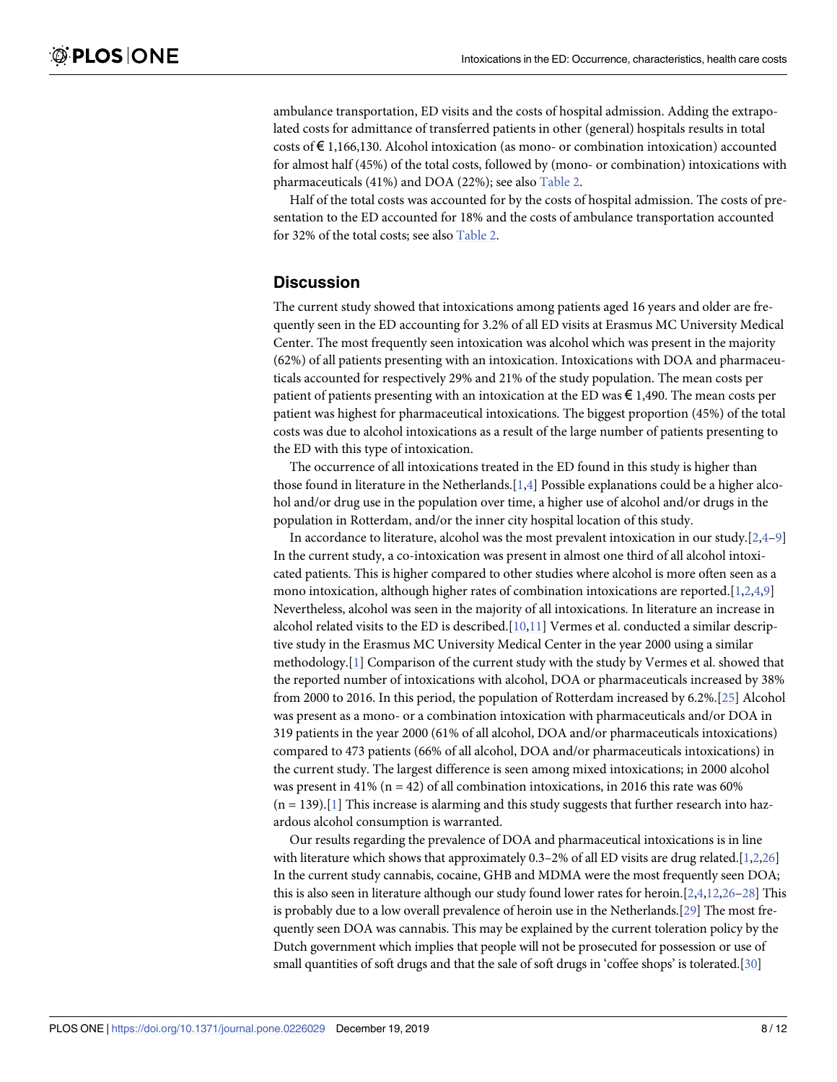<span id="page-7-0"></span>ambulance transportation, ED visits and the costs of hospital admission. Adding the extrapolated costs for admittance of transferred patients in other (general) hospitals results in total costs of  $\epsilon$  1,166,130. Alcohol intoxication (as mono- or combination intoxication) accounted for almost half (45%) of the total costs, followed by (mono- or combination) intoxications with pharmaceuticals (41%) and DOA (22%); see also [Table](#page-6-0) 2.

Half of the total costs was accounted for by the costs of hospital admission. The costs of presentation to the ED accounted for 18% and the costs of ambulance transportation accounted for 32% of the total costs; see also [Table](#page-6-0) 2.

#### **Discussion**

The current study showed that intoxications among patients aged 16 years and older are frequently seen in the ED accounting for 3.2% of all ED visits at Erasmus MC University Medical Center. The most frequently seen intoxication was alcohol which was present in the majority (62%) of all patients presenting with an intoxication. Intoxications with DOA and pharmaceuticals accounted for respectively 29% and 21% of the study population. The mean costs per patient of patients presenting with an intoxication at the ED was  $\epsilon$  1,490. The mean costs per patient was highest for pharmaceutical intoxications. The biggest proportion (45%) of the total costs was due to alcohol intoxications as a result of the large number of patients presenting to the ED with this type of intoxication.

The occurrence of all intoxications treated in the ED found in this study is higher than those found in literature in the Netherlands.[\[1,4](#page-10-0)] Possible explanations could be a higher alcohol and/or drug use in the population over time, a higher use of alcohol and/or drugs in the population in Rotterdam, and/or the inner city hospital location of this study.

In accordance to literature, alcohol was the most prevalent intoxication in our study. $[2,4-9]$  $[2,4-9]$ In the current study, a co-intoxication was present in almost one third of all alcohol intoxicated patients. This is higher compared to other studies where alcohol is more often seen as a mono intoxication, although higher rates of combination intoxications are reported.[[1](#page-10-0),[2,4](#page-10-0),[9\]](#page-10-0) Nevertheless, alcohol was seen in the majority of all intoxications. In literature an increase in alcohol related visits to the ED is described.[[10,11\]](#page-10-0) Vermes et al. conducted a similar descriptive study in the Erasmus MC University Medical Center in the year 2000 using a similar methodology.[[1](#page-10-0)] Comparison of the current study with the study by Vermes et al. showed that the reported number of intoxications with alcohol, DOA or pharmaceuticals increased by 38% from 2000 to 2016. In this period, the population of Rotterdam increased by 6.2%.[\[25\]](#page-11-0) Alcohol was present as a mono- or a combination intoxication with pharmaceuticals and/or DOA in 319 patients in the year 2000 (61% of all alcohol, DOA and/or pharmaceuticals intoxications) compared to 473 patients (66% of all alcohol, DOA and/or pharmaceuticals intoxications) in the current study. The largest difference is seen among mixed intoxications; in 2000 alcohol was present in 41% ( $n = 42$ ) of all combination intoxications, in 2016 this rate was 60%  $(n = 139)$ .[\[1](#page-10-0)] This increase is alarming and this study suggests that further research into hazardous alcohol consumption is warranted.

Our results regarding the prevalence of DOA and pharmaceutical intoxications is in line with literature which shows that approximately  $0.3-2%$  of all ED visits are drug related.[\[1,2,](#page-10-0)[26](#page-11-0)] In the current study cannabis, cocaine, GHB and MDMA were the most frequently seen DOA; this is also seen in literature although our study found lower rates for heroin.[\[2,4,12](#page-10-0),[26–28](#page-11-0)] This is probably due to a low overall prevalence of heroin use in the Netherlands.[\[29\]](#page-11-0) The most frequently seen DOA was cannabis. This may be explained by the current toleration policy by the Dutch government which implies that people will not be prosecuted for possession or use of small quantities of soft drugs and that the sale of soft drugs in 'coffee shops' is tolerated.[[30](#page-11-0)]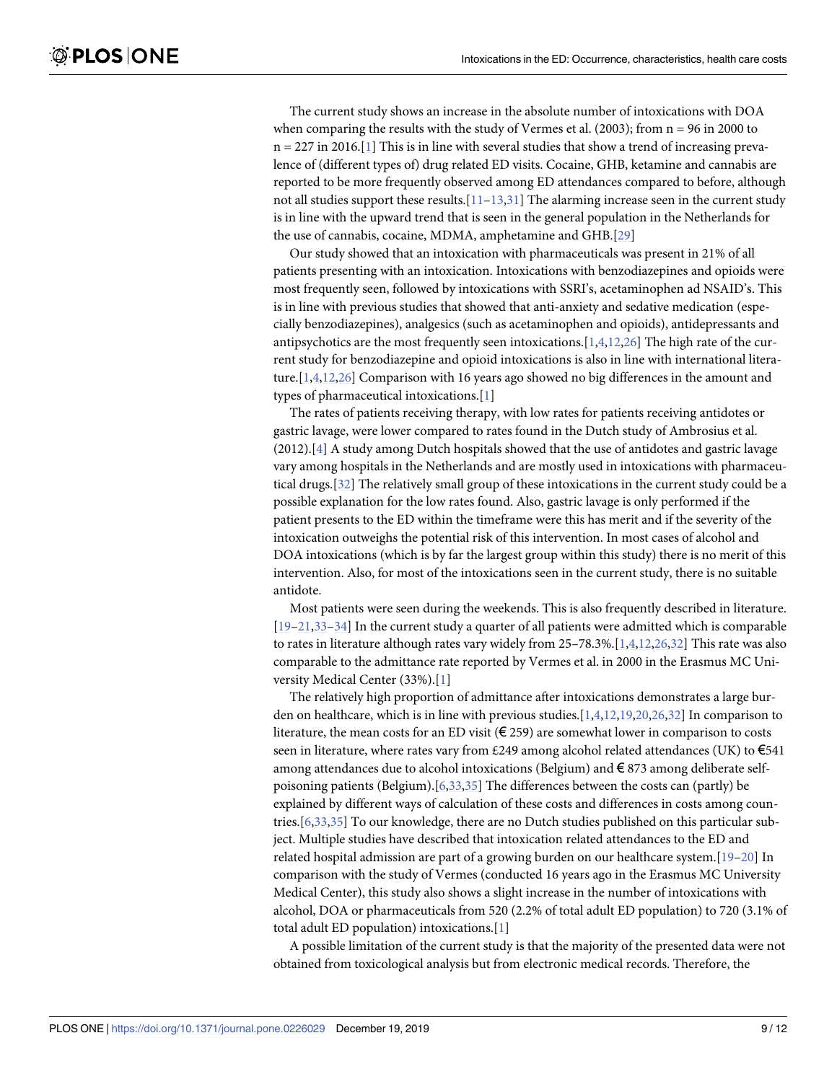<span id="page-8-0"></span>The current study shows an increase in the absolute number of intoxications with DOA when comparing the results with the study of Vermes et al.  $(2003)$ ; from  $n = 96$  in 2000 to  $n = 227$  in 2016.[\[1\]](#page-10-0) This is in line with several studies that show a trend of increasing prevalence of (different types of) drug related ED visits. Cocaine, GHB, ketamine and cannabis are reported to be more frequently observed among ED attendances compared to before, although not all studies support these results.<sup>[\[11–13,](#page-10-0)[31](#page-11-0)]</sup> The alarming increase seen in the current study is in line with the upward trend that is seen in the general population in the Netherlands for the use of cannabis, cocaine, MDMA, amphetamine and GHB.[[29\]](#page-11-0)

Our study showed that an intoxication with pharmaceuticals was present in 21% of all patients presenting with an intoxication. Intoxications with benzodiazepines and opioids were most frequently seen, followed by intoxications with SSRI's, acetaminophen ad NSAID's. This is in line with previous studies that showed that anti-anxiety and sedative medication (especially benzodiazepines), analgesics (such as acetaminophen and opioids), antidepressants and antipsychotics are the most frequently seen intoxications.[[1,4,12](#page-10-0),[26\]](#page-11-0) The high rate of the current study for benzodiazepine and opioid intoxications is also in line with international literature.[[1,4,12](#page-10-0),[26](#page-11-0)] Comparison with 16 years ago showed no big differences in the amount and types of pharmaceutical intoxications.[\[1\]](#page-10-0)

The rates of patients receiving therapy, with low rates for patients receiving antidotes or gastric lavage, were lower compared to rates found in the Dutch study of Ambrosius et al. (2012).[\[4](#page-10-0)] A study among Dutch hospitals showed that the use of antidotes and gastric lavage vary among hospitals in the Netherlands and are mostly used in intoxications with pharmaceutical drugs.[\[32\]](#page-11-0) The relatively small group of these intoxications in the current study could be a possible explanation for the low rates found. Also, gastric lavage is only performed if the patient presents to the ED within the timeframe were this has merit and if the severity of the intoxication outweighs the potential risk of this intervention. In most cases of alcohol and DOA intoxications (which is by far the largest group within this study) there is no merit of this intervention. Also, for most of the intoxications seen in the current study, there is no suitable antidote.

Most patients were seen during the weekends. This is also frequently described in literature. [\[19–21,33](#page-11-0)–[34\]](#page-11-0) In the current study a quarter of all patients were admitted which is comparable to rates in literature although rates vary widely from 25–78.3%.[\[1,4,12,](#page-10-0)[26,32](#page-11-0)] This rate was also comparable to the admittance rate reported by Vermes et al. in 2000 in the Erasmus MC University Medical Center (33%).[[1\]](#page-10-0)

The relatively high proportion of admittance after intoxications demonstrates a large burden on healthcare, which is in line with previous studies.[[1](#page-10-0),[4](#page-10-0),[12](#page-10-0)[,19,20,26,32](#page-11-0)] In comparison to literature, the mean costs for an ED visit ( $\epsilon$  259) are somewhat lower in comparison to costs seen in literature, where rates vary from £249 among alcohol related attendances (UK) to  $\epsilon$ 541 among attendances due to alcohol intoxications (Belgium) and € 873 among deliberate selfpoisoning patients (Belgium).[[6](#page-10-0),[33,35\]](#page-11-0) The differences between the costs can (partly) be explained by different ways of calculation of these costs and differences in costs among countries.[[6,](#page-10-0)[33](#page-11-0),[35](#page-11-0)] To our knowledge, there are no Dutch studies published on this particular subject. Multiple studies have described that intoxication related attendances to the ED and related hospital admission are part of a growing burden on our healthcare system.[[19–20\]](#page-11-0) In comparison with the study of Vermes (conducted 16 years ago in the Erasmus MC University Medical Center), this study also shows a slight increase in the number of intoxications with alcohol, DOA or pharmaceuticals from 520 (2.2% of total adult ED population) to 720 (3.1% of total adult ED population) intoxications.[[1](#page-10-0)]

A possible limitation of the current study is that the majority of the presented data were not obtained from toxicological analysis but from electronic medical records. Therefore, the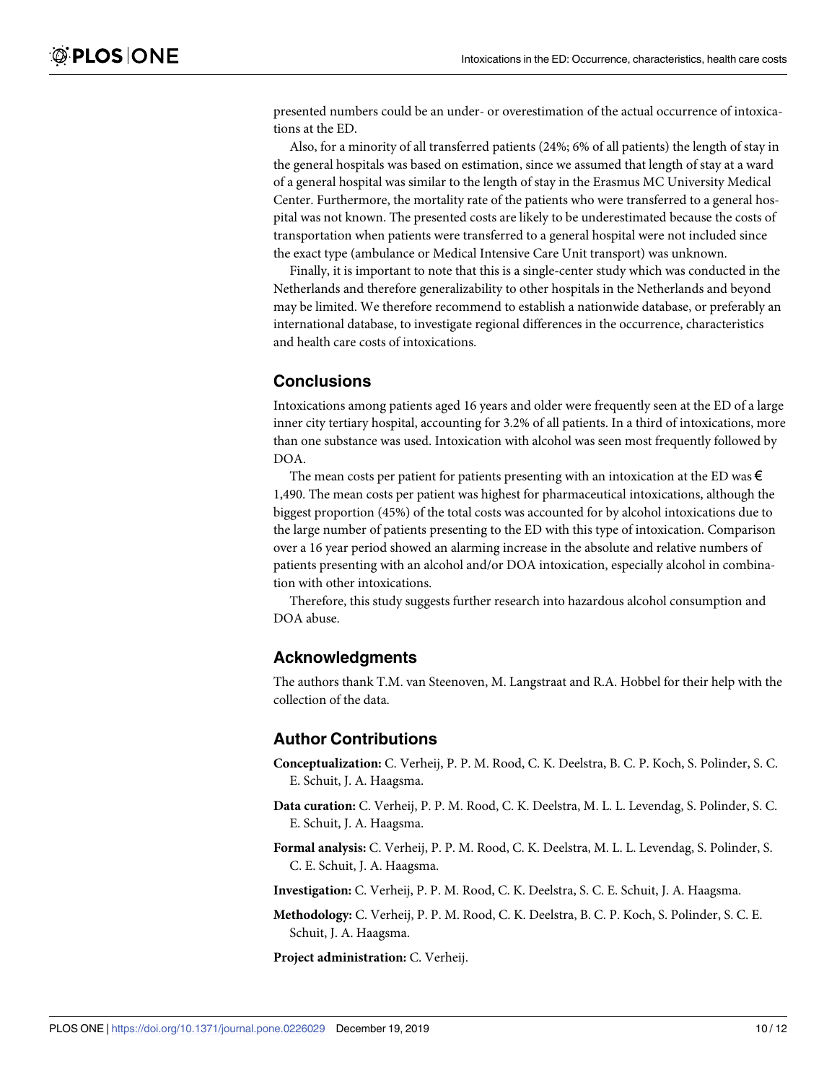presented numbers could be an under- or overestimation of the actual occurrence of intoxications at the ED.

Also, for a minority of all transferred patients (24%; 6% of all patients) the length of stay in the general hospitals was based on estimation, since we assumed that length of stay at a ward of a general hospital was similar to the length of stay in the Erasmus MC University Medical Center. Furthermore, the mortality rate of the patients who were transferred to a general hospital was not known. The presented costs are likely to be underestimated because the costs of transportation when patients were transferred to a general hospital were not included since the exact type (ambulance or Medical Intensive Care Unit transport) was unknown.

Finally, it is important to note that this is a single-center study which was conducted in the Netherlands and therefore generalizability to other hospitals in the Netherlands and beyond may be limited. We therefore recommend to establish a nationwide database, or preferably an international database, to investigate regional differences in the occurrence, characteristics and health care costs of intoxications.

#### **Conclusions**

Intoxications among patients aged 16 years and older were frequently seen at the ED of a large inner city tertiary hospital, accounting for 3.2% of all patients. In a third of intoxications, more than one substance was used. Intoxication with alcohol was seen most frequently followed by DOA.

The mean costs per patient for patients presenting with an intoxication at the ED was  $\epsilon$ 1,490. The mean costs per patient was highest for pharmaceutical intoxications, although the biggest proportion (45%) of the total costs was accounted for by alcohol intoxications due to the large number of patients presenting to the ED with this type of intoxication. Comparison over a 16 year period showed an alarming increase in the absolute and relative numbers of patients presenting with an alcohol and/or DOA intoxication, especially alcohol in combination with other intoxications.

Therefore, this study suggests further research into hazardous alcohol consumption and DOA abuse.

#### **Acknowledgments**

The authors thank T.M. van Steenoven, M. Langstraat and R.A. Hobbel for their help with the collection of the data.

#### **Author Contributions**

- **Conceptualization:** C. Verheij, P. P. M. Rood, C. K. Deelstra, B. C. P. Koch, S. Polinder, S. C. E. Schuit, J. A. Haagsma.
- **Data curation:** C. Verheij, P. P. M. Rood, C. K. Deelstra, M. L. L. Levendag, S. Polinder, S. C. E. Schuit, J. A. Haagsma.
- **Formal analysis:** C. Verheij, P. P. M. Rood, C. K. Deelstra, M. L. L. Levendag, S. Polinder, S. C. E. Schuit, J. A. Haagsma.

**Investigation:** C. Verheij, P. P. M. Rood, C. K. Deelstra, S. C. E. Schuit, J. A. Haagsma.

**Methodology:** C. Verheij, P. P. M. Rood, C. K. Deelstra, B. C. P. Koch, S. Polinder, S. C. E. Schuit, J. A. Haagsma.

**Project administration:** C. Verheij.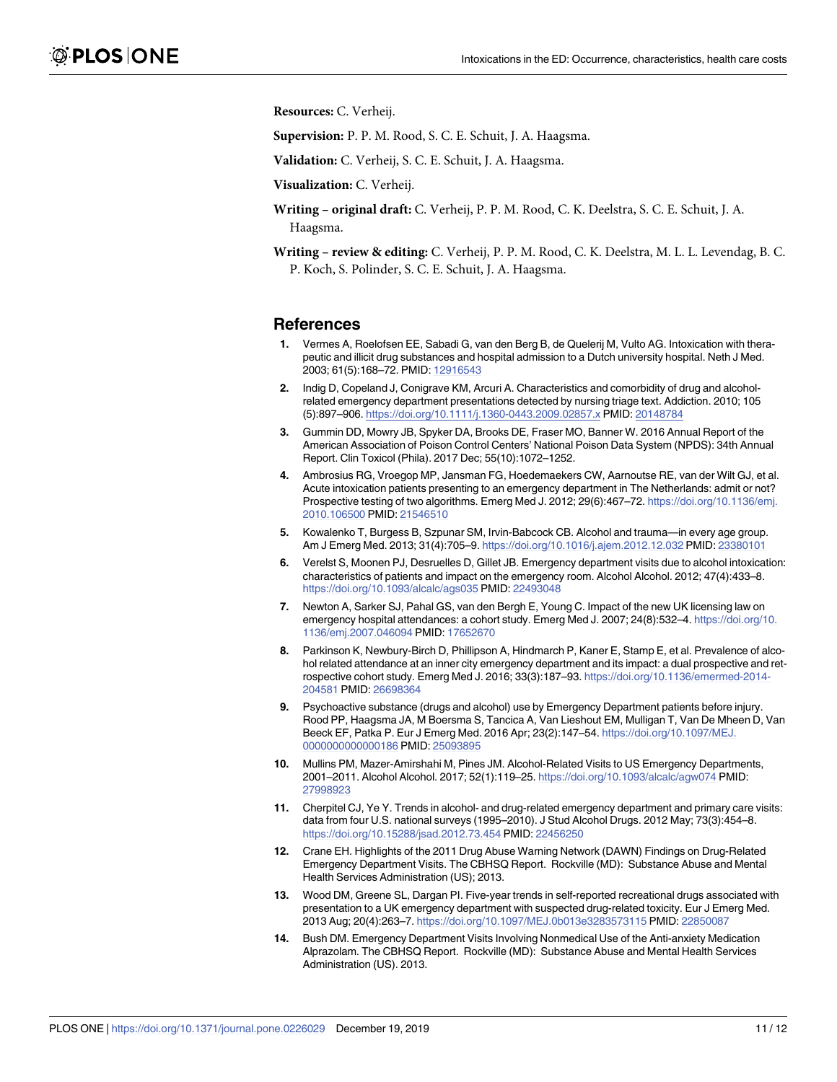<span id="page-10-0"></span>**Resources:** C. Verheij.

**Supervision:** P. P. M. Rood, S. C. E. Schuit, J. A. Haagsma.

**Validation:** C. Verheij, S. C. E. Schuit, J. A. Haagsma.

**Visualization:** C. Verheij.

- **Writing – original draft:** C. Verheij, P. P. M. Rood, C. K. Deelstra, S. C. E. Schuit, J. A. Haagsma.
- **Writing – review & editing:** C. Verheij, P. P. M. Rood, C. K. Deelstra, M. L. L. Levendag, B. C. P. Koch, S. Polinder, S. C. E. Schuit, J. A. Haagsma.

#### **References**

- **[1](#page-1-0).** Vermes A, Roelofsen EE, Sabadi G, van den Berg B, de Quelerij M, Vulto AG. Intoxication with therapeutic and illicit drug substances and hospital admission to a Dutch university hospital. Neth J Med. 2003; 61(5):168–72. PMID: [12916543](http://www.ncbi.nlm.nih.gov/pubmed/12916543)
- **[2](#page-1-0).** Indig D, Copeland J, Conigrave KM, Arcuri A. Characteristics and comorbidity of drug and alcoholrelated emergency department presentations detected by nursing triage text. Addiction. 2010; 105 (5):897–906. <https://doi.org/10.1111/j.1360-0443.2009.02857.x> PMID: [20148784](http://www.ncbi.nlm.nih.gov/pubmed/20148784)
- **[3](#page-1-0).** Gummin DD, Mowry JB, Spyker DA, Brooks DE, Fraser MO, Banner W. 2016 Annual Report of the American Association of Poison Control Centers' National Poison Data System (NPDS): 34th Annual Report. Clin Toxicol (Phila). 2017 Dec; 55(10):1072–1252.
- **[4](#page-1-0).** Ambrosius RG, Vroegop MP, Jansman FG, Hoedemaekers CW, Aarnoutse RE, van der Wilt GJ, et al. Acute intoxication patients presenting to an emergency department in The Netherlands: admit or not? Prospective testing of two algorithms. Emerg Med J. 2012; 29(6):467-72. [https://doi.org/10.1136/emj.](https://doi.org/10.1136/emj.2010.106500) [2010.106500](https://doi.org/10.1136/emj.2010.106500) PMID: [21546510](http://www.ncbi.nlm.nih.gov/pubmed/21546510)
- **5.** Kowalenko T, Burgess B, Szpunar SM, Irvin-Babcock CB. Alcohol and trauma—in every age group. Am J Emerg Med. 2013; 31(4):705–9. <https://doi.org/10.1016/j.ajem.2012.12.032> PMID: [23380101](http://www.ncbi.nlm.nih.gov/pubmed/23380101)
- **[6](#page-8-0).** Verelst S, Moonen PJ, Desruelles D, Gillet JB. Emergency department visits due to alcohol intoxication: characteristics of patients and impact on the emergency room. Alcohol Alcohol. 2012; 47(4):433–8. <https://doi.org/10.1093/alcalc/ags035> PMID: [22493048](http://www.ncbi.nlm.nih.gov/pubmed/22493048)
- **7.** Newton A, Sarker SJ, Pahal GS, van den Bergh E, Young C. Impact of the new UK licensing law on emergency hospital attendances: a cohort study. Emerg Med J. 2007; 24(8):532–4. [https://doi.org/10.](https://doi.org/10.1136/emj.2007.046094) [1136/emj.2007.046094](https://doi.org/10.1136/emj.2007.046094) PMID: [17652670](http://www.ncbi.nlm.nih.gov/pubmed/17652670)
- **8.** Parkinson K, Newbury-Birch D, Phillipson A, Hindmarch P, Kaner E, Stamp E, et al. Prevalence of alcohol related attendance at an inner city emergency department and its impact: a dual prospective and retrospective cohort study. Emerg Med J. 2016; 33(3):187–93. [https://doi.org/10.1136/emermed-2014-](https://doi.org/10.1136/emermed-2014-204581) [204581](https://doi.org/10.1136/emermed-2014-204581) PMID: [26698364](http://www.ncbi.nlm.nih.gov/pubmed/26698364)
- **[9](#page-1-0).** Psychoactive substance (drugs and alcohol) use by Emergency Department patients before injury. Rood PP, Haagsma JA, M Boersma S, Tancica A, Van Lieshout EM, Mulligan T, Van De Mheen D, Van Beeck EF, Patka P. Eur J Emerg Med. 2016 Apr; 23(2):147–54. [https://doi.org/10.1097/MEJ.](https://doi.org/10.1097/MEJ.0000000000000186) [0000000000000186](https://doi.org/10.1097/MEJ.0000000000000186) PMID: [25093895](http://www.ncbi.nlm.nih.gov/pubmed/25093895)
- **[10](#page-1-0).** Mullins PM, Mazer-Amirshahi M, Pines JM. Alcohol-Related Visits to US Emergency Departments, 2001–2011. Alcohol Alcohol. 2017; 52(1):119–25. <https://doi.org/10.1093/alcalc/agw074> PMID: [27998923](http://www.ncbi.nlm.nih.gov/pubmed/27998923)
- **[11](#page-1-0).** Cherpitel CJ, Ye Y. Trends in alcohol- and drug-related emergency department and primary care visits: data from four U.S. national surveys (1995–2010). J Stud Alcohol Drugs. 2012 May; 73(3):454–8. <https://doi.org/10.15288/jsad.2012.73.454> PMID: [22456250](http://www.ncbi.nlm.nih.gov/pubmed/22456250)
- **[12](#page-1-0).** Crane EH. Highlights of the 2011 Drug Abuse Warning Network (DAWN) Findings on Drug-Related Emergency Department Visits. The CBHSQ Report. Rockville (MD): Substance Abuse and Mental Health Services Administration (US); 2013.
- **[13](#page-1-0).** Wood DM, Greene SL, Dargan PI. Five-year trends in self-reported recreational drugs associated with presentation to a UK emergency department with suspected drug-related toxicity. Eur J Emerg Med. 2013 Aug; 20(4):263–7. <https://doi.org/10.1097/MEJ.0b013e3283573115> PMID: [22850087](http://www.ncbi.nlm.nih.gov/pubmed/22850087)
- **[14](#page-1-0).** Bush DM. Emergency Department Visits Involving Nonmedical Use of the Anti-anxiety Medication Alprazolam. The CBHSQ Report. Rockville (MD): Substance Abuse and Mental Health Services Administration (US). 2013.